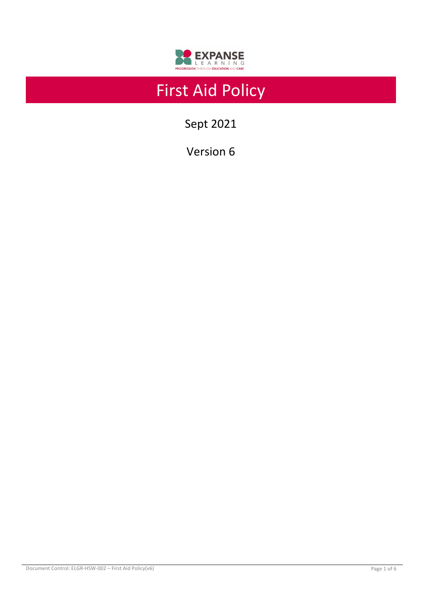

# First Aid Policy

Sept 2021

Version 6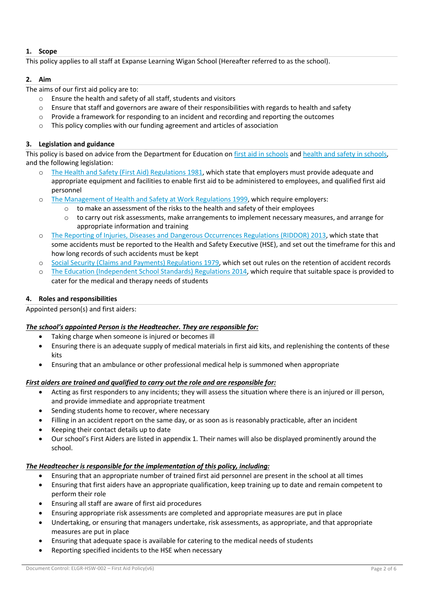## **1. Scope**

This policy applies to all staff at Expanse Learning Wigan School (Hereafter referred to as the school).

## **2. Aim**

The aims of our first aid policy are to:

- o Ensure the health and safety of all staff, students and visitors
- $\circ$  Ensure that staff and governors are aware of their responsibilities with regards to health and safety
- $\circ$  Provide a framework for responding to an incident and recording and reporting the outcomes
- o This policy complies with our funding agreement and articles of association

# **3. Legislation and guidance**

This policy is based on advice from the Department for Education on first aid in schools and health and safety in schools, and the following legislation:

- The Health and Safety (First Aid) Regulations 1981, which state that employers must provide adequate and appropriate equipment and facilities to enable first aid to be administered to employees, and qualified first aid personnel
- o The Management of Health and Safety at Work Regulations 1999, which require employers:
	- $\circ$  to make an assessment of the risks to the health and safety of their employees
		- o to carry out risk assessments, make arrangements to implement necessary measures, and arrange for appropriate information and training
- o The Reporting of Injuries, Diseases and Dangerous Occurrences Regulations (RIDDOR) 2013, which state that some accidents must be reported to the Health and Safety Executive (HSE), and set out the timeframe for this and how long records of such accidents must be kept
- o Social Security (Claims and Payments) Regulations 1979, which set out rules on the retention of accident records
- o The Education (Independent School Standards) Regulations 2014, which require that suitable space is provided to cater for the medical and therapy needs of students

# **4. Roles and responsibilities**

Appointed person(s) and first aiders:

# *The school's appointed Person is the Headteacher. They are responsible for:*

- Taking charge when someone is injured or becomes ill
- Ensuring there is an adequate supply of medical materials in first aid kits, and replenishing the contents of these kits
- Ensuring that an ambulance or other professional medical help is summoned when appropriate

# *First aiders are trained and qualified to carry out the role and are responsible for:*

- Acting as first responders to any incidents; they will assess the situation where there is an injured or ill person, and provide immediate and appropriate treatment
- Sending students home to recover, where necessary
- Filling in an accident report on the same day, or as soon as is reasonably practicable, after an incident
- Keeping their contact details up to date
- Our school's First Aiders are listed in appendix 1. Their names will also be displayed prominently around the school.

# *The Headteacher is responsible for the implementation of this policy, including:*

- Ensuring that an appropriate number of trained first aid personnel are present in the school at all times
- Ensuring that first aiders have an appropriate qualification, keep training up to date and remain competent to perform their role
- Ensuring all staff are aware of first aid procedures
- Ensuring appropriate risk assessments are completed and appropriate measures are put in place
- Undertaking, or ensuring that managers undertake, risk assessments, as appropriate, and that appropriate measures are put in place
- Ensuring that adequate space is available for catering to the medical needs of students
- Reporting specified incidents to the HSE when necessary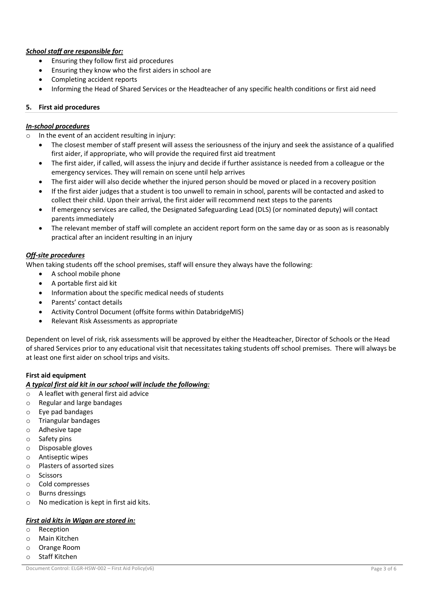# *School staff are responsible for:*

- Ensuring they follow first aid procedures
- Ensuring they know who the first aiders in school are
- Completing accident reports
- Informing the Head of Shared Services or the Headteacher of any specific health conditions or first aid need

#### **5. First aid procedures**

#### *In-school procedures*

o In the event of an accident resulting in injury:

- The closest member of staff present will assess the seriousness of the injury and seek the assistance of a qualified first aider, if appropriate, who will provide the required first aid treatment
- The first aider, if called, will assess the injury and decide if further assistance is needed from a colleague or the emergency services. They will remain on scene until help arrives
- The first aider will also decide whether the injured person should be moved or placed in a recovery position
- If the first aider judges that a student is too unwell to remain in school, parents will be contacted and asked to collect their child. Upon their arrival, the first aider will recommend next steps to the parents
- If emergency services are called, the Designated Safeguarding Lead (DLS) (or nominated deputy) will contact parents immediately
- The relevant member of staff will complete an accident report form on the same day or as soon as is reasonably practical after an incident resulting in an injury

#### *Off-site procedures*

When taking students off the school premises, staff will ensure they always have the following:

- A school mobile phone
- A portable first aid kit
- Information about the specific medical needs of students
- Parents' contact details
- Activity Control Document (offsite forms within DatabridgeMIS)
- Relevant Risk Assessments as appropriate

Dependent on level of risk, risk assessments will be approved by either the Headteacher, Director of Schools or the Head of shared Services prior to any educational visit that necessitates taking students off school premises. There will always be at least one first aider on school trips and visits.

#### **First aid equipment**

#### *A typical first aid kit in our school will include the following:*

- o A leaflet with general first aid advice
- o Regular and large bandages
- o Eye pad bandages
- o Triangular bandages
- o Adhesive tape
- o Safety pins
- o Disposable gloves
- o Antiseptic wipes
- o Plasters of assorted sizes
- o Scissors
- o Cold compresses
- o Burns dressings
- o No medication is kept in first aid kits.

#### *First aid kits in Wigan are stored in:*

- o Reception
- o Main Kitchen
- o Orange Room
- o Staff Kitchen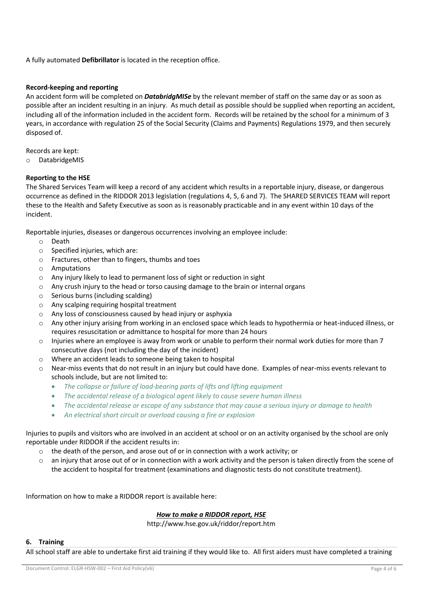A fully automated **Defibrillator** is located in the reception office.

# **Record-keeping and reporting**

An accident form will be completed on *DatabridgMISe* by the relevant member of staff on the same day or as soon as possible after an incident resulting in an injury. As much detail as possible should be supplied when reporting an accident, including all of the information included in the accident form. Records will be retained by the school for a minimum of 3 years, in accordance with regulation 25 of the Social Security (Claims and Payments) Regulations 1979, and then securely disposed of.

Records are kept:

o DatabridgeMIS

## **Reporting to the HSE**

The Shared Services Team will keep a record of any accident which results in a reportable injury, disease, or dangerous occurrence as defined in the RIDDOR 2013 legislation (regulations 4, 5, 6 and 7). The SHARED SERVICES TEAM will report these to the Health and Safety Executive as soon as is reasonably practicable and in any event within 10 days of the incident.

Reportable injuries, diseases or dangerous occurrences involving an employee include:

- o Death
- $\circ$  Specified injuries, which are:
- o Fractures, other than to fingers, thumbs and toes
- o Amputations
- o Any injury likely to lead to permanent loss of sight or reduction in sight
- $\circ$  Any crush injury to the head or torso causing damage to the brain or internal organs
- o Serious burns (including scalding)
- o Any scalping requiring hospital treatment
- o Any loss of consciousness caused by head injury or asphyxia
- $\circ$  Any other injury arising from working in an enclosed space which leads to hypothermia or heat-induced illness, or requires resuscitation or admittance to hospital for more than 24 hours
- $\circ$  Injuries where an employee is away from work or unable to perform their normal work duties for more than 7 consecutive days (not including the day of the incident)
- o Where an accident leads to someone being taken to hospital
- o Near-miss events that do not result in an injury but could have done. Examples of near-miss events relevant to schools include, but are not limited to:
	- *The collapse or failure of load-bearing parts of lifts and lifting equipment*
	- *The accidental release of a biological agent likely to cause severe human illness*
	- *The accidental release or escape of any substance that may cause a serious injury or damage to health*
	- *An electrical short circuit or overload causing a fire or explosion*

Injuries to pupils and visitors who are involved in an accident at school or on an activity organised by the school are only reportable under RIDDOR if the accident results in:

- o the death of the person, and arose out of or in connection with a work activity; or
- $\circ$  an injury that arose out of or in connection with a work activity and the person is taken directly from the scene of the accident to hospital for treatment (examinations and diagnostic tests do not constitute treatment).

Information on how to make a RIDDOR report is available here:

#### *How to make a RIDDOR report, HSE*

http://www.hse.gov.uk/riddor/report.htm

#### **6. Training**

All school staff are able to undertake first aid training if they would like to. All first aiders must have completed a training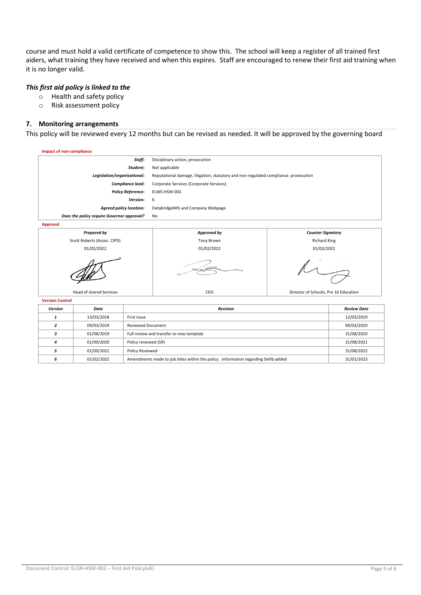course and must hold a valid certificate of competence to show this. The school will keep a register of all trained first aiders, what training they have received and when this expires. Staff are encouraged to renew their first aid training when it is no longer valid.

#### *This first aid policy is linked to the*

- o Health and safety policy
- o Risk assessment policy

#### **7. Monitoring arrangements**

This policy will be reviewed every 12 months but can be revised as needed. It will be approved by the governing board